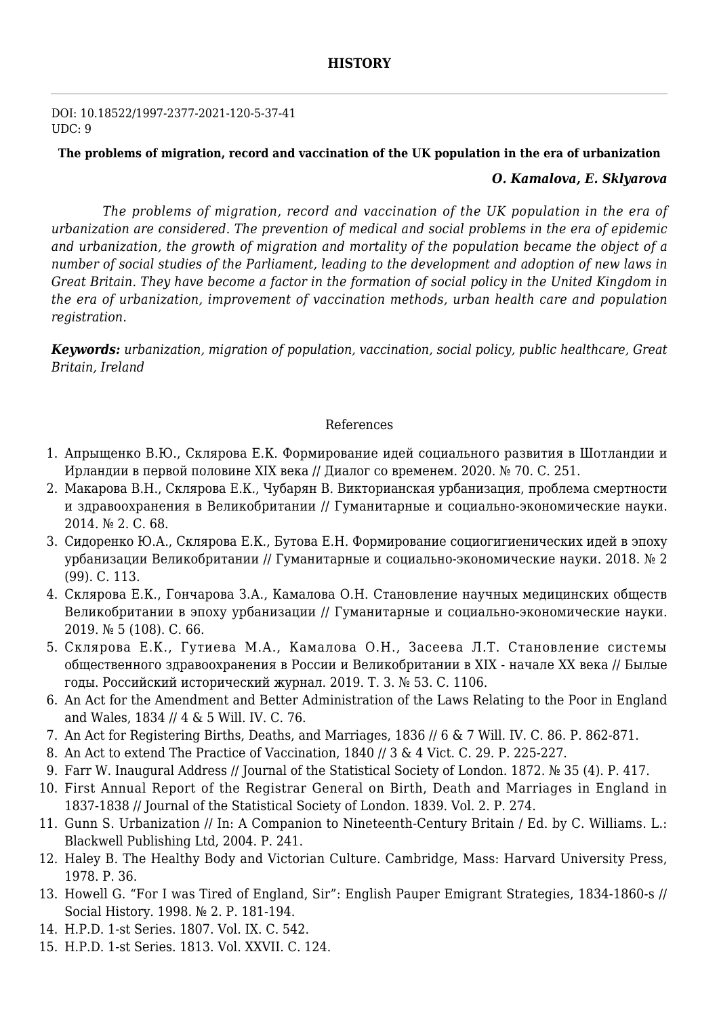DOI: 10.18522/1997-2377-2021-120-5-37-41  $IIDC: 9$ 

## **The problems of migration, record and vaccination of the UK population in the era of urbanization** *O. Kamalova, E. Sklyarova*

*The problems of migration, record and vaccination of the UK population in the era of urbanization are considered. The prevention of medical and social problems in the era of epidemic and urbanization, the growth of migration and mortality of the population became the object of a number of social studies of the Parliament, leading to the development and adoption of new laws in Great Britain. They have become a factor in the formation of social policy in the United Kingdom in the era of urbanization, improvement of vaccination methods, urban health care and population registration.*

*Keywords: urbanization, migration of population, vaccination, social policy, public healthcare, Great Britain, Ireland*

## References

- 1. Апрыщенко В.Ю., Склярова Е.К. Формирование идей социального развития в Шотландии и Ирландии в первой половине XIX века // Диалог со временем. 2020. № 70. С. 251.
- 2. Макарова В.Н., Склярова Е.К., Чубарян В. Викторианская урбанизация, проблема смертности и здравоохранения в Великобритании // Гуманитарные и социально-экономические науки. 2014. № 2. С. 68.
- 3. Сидоренко Ю.А., Склярова Е.К., Бутова Е.Н. Формирование социогигиенических идей в эпоху урбанизации Великобритании // Гуманитарные и социально-экономические науки. 2018. № 2 (99). С. 113.
- 4. Склярова Е.К., Гончарова З.А., Камалова О.Н. Становление научных медицинских обществ Великобритании в эпоху урбанизации // Гуманитарные и социально-экономические науки. 2019. № 5 (108). С. 66.
- 5. Склярова Е.К., Гутиева М.А., Камалова О.Н., Засеева Л.Т. Становление системы общественного здравоохранения в России и Великобритании в XIX - начале XX века // Былые годы. Российский исторический журнал. 2019. Т. 3. № 53. С. 1106.
- 6. An Act for the Amendment and Better Administration of the Laws Relating to the Poor in England and Wales, 1834 // 4 & 5 Will. IV. C. 76.
- 7. An Act for Registering Births, Deaths, and Marriages, 1836 // 6 & 7 Will. IV. С. 86. P. 862-871.
- 8. An Act to extend The Practice of Vaccination, 1840 // 3 & 4 Vict. C. 29. P. 225-227.
- 9. Farr W. Inaugural Address // Journal of the Statistical Society of London. 1872. № 35 (4). P. 417.
- 10. First Annual Report of the Registrar General on Birth, Death and Marriages in England in 1837-1838 // Journal of the Statistical Society of London. 1839. Vol. 2. P. 274.
- 11. Gunn S. Urbanization // In: A Companion to Nineteenth-Century Britain / Ed. by C. Williams. L.: Blackwell Publishing Ltd, 2004. P. 241.
- 12. Haley B. The Healthy Body and Victorian Culture. Cambridge, Mass: Harvard University Press, 1978. P. 36.
- 13. Howell G. "For I was Tired of England, Sir": English Pauper Emigrant Strategies, 1834-1860-s // Social History. 1998. № 2. P. 181-194.
- 14. H.P.D. 1-st Series. 1807. Vol. IX. C. 542.
- 15. H.P.D. 1-st Series. 1813. Vol. XXVII. C. 124.